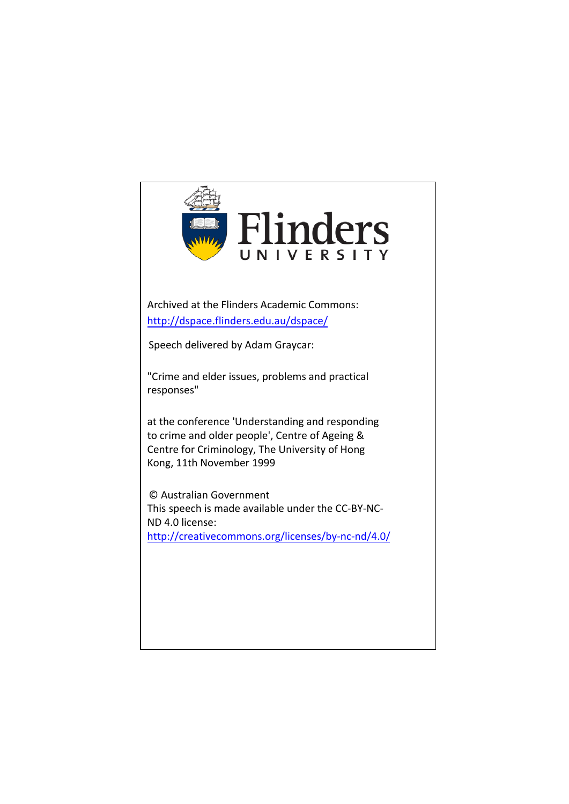

Archived at the Flinders Academic Commons: <http://dspace.flinders.edu.au/dspace/>

Speech delivered by Adam Graycar:

"Crime and elder issues, problems and practical responses"

at the conference 'Understanding and responding to crime and older people', Centre of Ageing & Centre for Criminology, The University of Hong Kong, 11th November 1999

© [Australian Government](http://creativecommons.org/licenses/by-nc-nd/4.0/) This speech is made available under the CC-BY-NC-ND 4.0 license: <http://creativecommons.org/licenses/by-nc-nd/4.0/>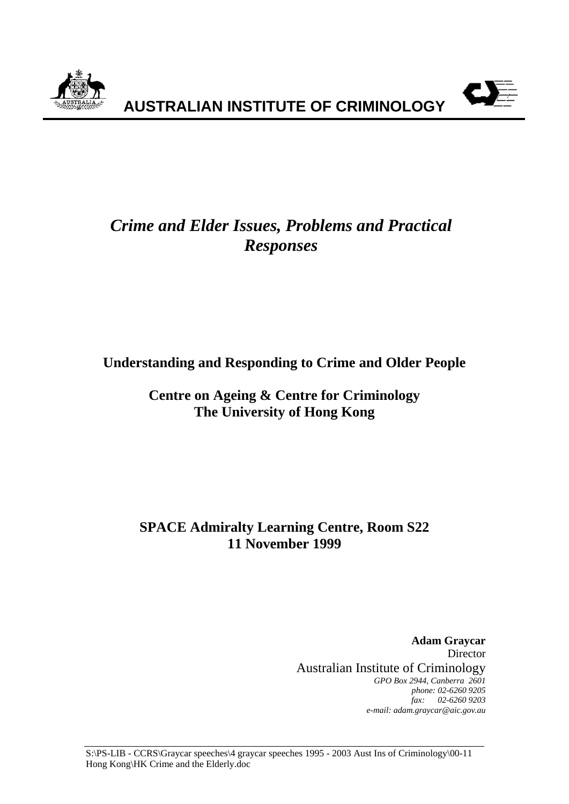



# *Crime and Elder Issues, Problems and Practical Responses*

## **Understanding and Responding to Crime and Older People**

## **Centre on Ageing & Centre for Criminology The University of Hong Kong**

## **SPACE Admiralty Learning Centre, Room S22 11 November 1999**

**Adam Graycar** Director Australian Institute of Criminology *GPO Box 2944, Canberra 2601 phone: 02-6260 9205 fax: 02-6260 9203 e-mail: adam.graycar@aic.gov.au*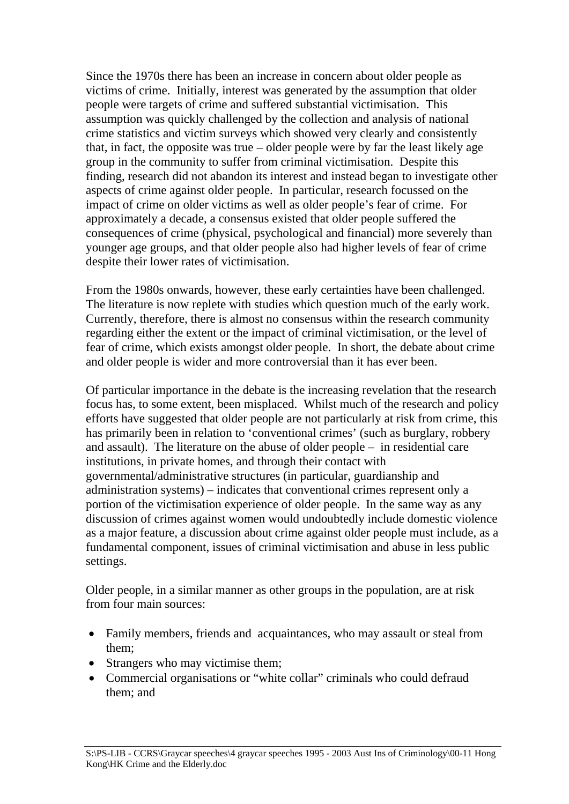Since the 1970s there has been an increase in concern about older people as victims of crime. Initially, interest was generated by the assumption that older people were targets of crime and suffered substantial victimisation. This assumption was quickly challenged by the collection and analysis of national crime statistics and victim surveys which showed very clearly and consistently that, in fact, the opposite was true – older people were by far the least likely age group in the community to suffer from criminal victimisation. Despite this finding, research did not abandon its interest and instead began to investigate other aspects of crime against older people. In particular, research focussed on the impact of crime on older victims as well as older people's fear of crime. For approximately a decade, a consensus existed that older people suffered the consequences of crime (physical, psychological and financial) more severely than younger age groups, and that older people also had higher levels of fear of crime despite their lower rates of victimisation.

From the 1980s onwards, however, these early certainties have been challenged. The literature is now replete with studies which question much of the early work. Currently, therefore, there is almost no consensus within the research community regarding either the extent or the impact of criminal victimisation, or the level of fear of crime, which exists amongst older people. In short, the debate about crime and older people is wider and more controversial than it has ever been.

Of particular importance in the debate is the increasing revelation that the research focus has, to some extent, been misplaced. Whilst much of the research and policy efforts have suggested that older people are not particularly at risk from crime, this has primarily been in relation to 'conventional crimes' (such as burglary, robbery and assault). The literature on the abuse of older people – in residential care institutions, in private homes, and through their contact with governmental/administrative structures (in particular, guardianship and administration systems) – indicates that conventional crimes represent only a portion of the victimisation experience of older people. In the same way as any discussion of crimes against women would undoubtedly include domestic violence as a major feature, a discussion about crime against older people must include, as a fundamental component, issues of criminal victimisation and abuse in less public settings.

Older people, in a similar manner as other groups in the population, are at risk from four main sources:

- Family members, friends and acquaintances, who may assault or steal from them;
- Strangers who may victimise them;
- Commercial organisations or "white collar" criminals who could defraud them; and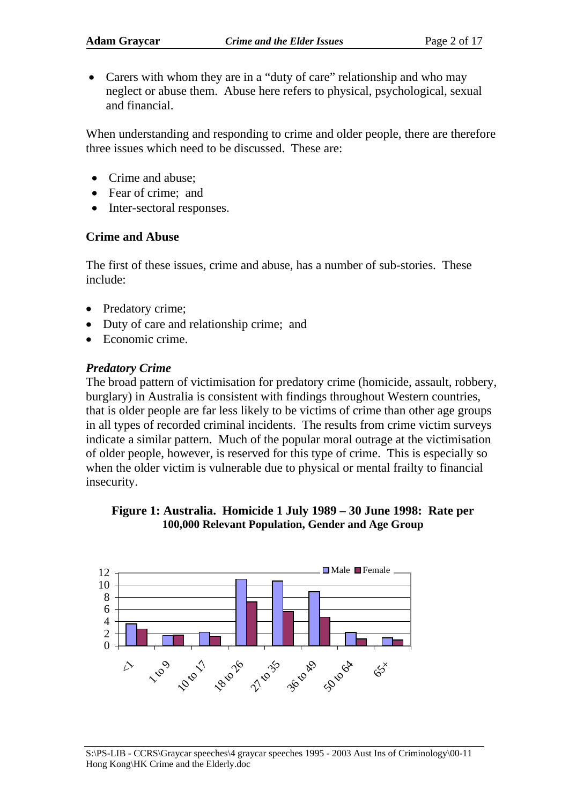• Carers with whom they are in a "duty of care" relationship and who may neglect or abuse them. Abuse here refers to physical, psychological, sexual and financial.

When understanding and responding to crime and older people, there are therefore three issues which need to be discussed. These are:

- Crime and abuse;
- Fear of crime: and
- Inter-sectoral responses.

#### **Crime and Abuse**

The first of these issues, crime and abuse, has a number of sub-stories. These include:

- Predatory crime;
- Duty of care and relationship crime; and
- Economic crime.

#### *Predatory Crime*

The broad pattern of victimisation for predatory crime (homicide, assault, robbery, burglary) in Australia is consistent with findings throughout Western countries, that is older people are far less likely to be victims of crime than other age groups in all types of recorded criminal incidents. The results from crime victim surveys indicate a similar pattern. Much of the popular moral outrage at the victimisation of older people, however, is reserved for this type of crime. This is especially so when the older victim is vulnerable due to physical or mental frailty to financial insecurity.



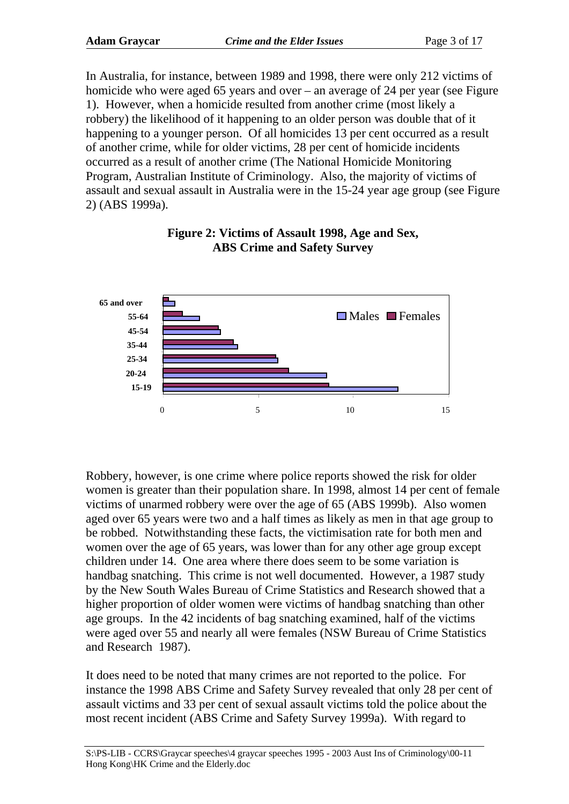In Australia, for instance, between 1989 and 1998, there were only 212 victims of homicide who were aged 65 years and over – an average of 24 per year (see Figure 1). However, when a homicide resulted from another crime (most likely a robbery) the likelihood of it happening to an older person was double that of it happening to a younger person. Of all homicides 13 per cent occurred as a result of another crime, while for older victims, 28 per cent of homicide incidents occurred as a result of another crime (The National Homicide Monitoring Program, Australian Institute of Criminology. Also, the majority of victims of assault and sexual assault in Australia were in the 15-24 year age group (see Figure 2) (ABS 1999a).



#### **Figure 2: Victims of Assault 1998, Age and Sex, ABS Crime and Safety Survey**

Robbery, however, is one crime where police reports showed the risk for older women is greater than their population share. In 1998, almost 14 per cent of female victims of unarmed robbery were over the age of 65 (ABS 1999b). Also women aged over 65 years were two and a half times as likely as men in that age group to be robbed. Notwithstanding these facts, the victimisation rate for both men and women over the age of 65 years, was lower than for any other age group except children under 14. One area where there does seem to be some variation is handbag snatching. This crime is not well documented. However, a 1987 study by the New South Wales Bureau of Crime Statistics and Research showed that a higher proportion of older women were victims of handbag snatching than other age groups. In the 42 incidents of bag snatching examined, half of the victims were aged over 55 and nearly all were females (NSW Bureau of Crime Statistics and Research 1987).

It does need to be noted that many crimes are not reported to the police. For instance the 1998 ABS Crime and Safety Survey revealed that only 28 per cent of assault victims and 33 per cent of sexual assault victims told the police about the most recent incident (ABS Crime and Safety Survey 1999a). With regard to

S:\PS-LIB - CCRS\Graycar speeches\4 graycar speeches 1995 - 2003 Aust Ins of Criminology\00-11 Hong Kong\HK Crime and the Elderly.doc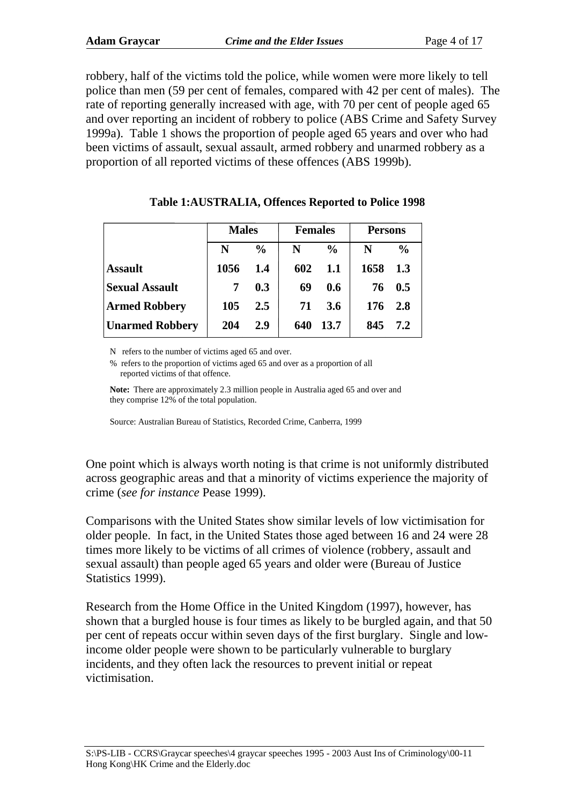robbery, half of the victims told the police, while women were more likely to tell police than men (59 per cent of females, compared with 42 per cent of males). The rate of reporting generally increased with age, with 70 per cent of people aged 65 and over reporting an incident of robbery to police (ABS Crime and Safety Survey 1999a). Table 1 shows the proportion of people aged 65 years and over who had been victims of assault, sexual assault, armed robbery and unarmed robbery as a proportion of all reported victims of these offences (ABS 1999b).

|                        | <b>Males</b> |               | <b>Females</b> |               | <b>Persons</b> |               |
|------------------------|--------------|---------------|----------------|---------------|----------------|---------------|
|                        | N            | $\frac{0}{0}$ | N              | $\frac{0}{0}$ | N              | $\frac{0}{0}$ |
| <b>Assault</b>         | 1056         | 1.4           | 602            | 1.1           | 1658           | 1.3           |
| <b>Sexual Assault</b>  | 7            | 0.3           | 69             | 0.6           | 76             | 0.5           |
| <b>Armed Robbery</b>   | 105          | 2.5           | 71             | 3.6           | 176            | 2.8           |
| <b>Unarmed Robbery</b> | 204          | 2.9           | 640            | 13.7          | 845            | 7.2           |

#### **Table 1:AUSTRALIA, Offences Reported to Police 1998**

N refers to the number of victims aged 65 and over.

% refers to the proportion of victims aged 65 and over as a proportion of all reported victims of that offence.

**Note:** There are approximately 2.3 million people in Australia aged 65 and over and they comprise 12% of the total population.

Source: Australian Bureau of Statistics, Recorded Crime, Canberra, 1999

One point which is always worth noting is that crime is not uniformly distributed across geographic areas and that a minority of victims experience the majority of crime (*see for instance* Pease 1999).

Comparisons with the United States show similar levels of low victimisation for older people. In fact, in the United States those aged between 16 and 24 were 28 times more likely to be victims of all crimes of violence (robbery, assault and sexual assault) than people aged 65 years and older were (Bureau of Justice Statistics 1999).

Research from the Home Office in the United Kingdom (1997), however, has shown that a burgled house is four times as likely to be burgled again, and that 50 per cent of repeats occur within seven days of the first burglary. Single and lowincome older people were shown to be particularly vulnerable to burglary incidents, and they often lack the resources to prevent initial or repeat victimisation.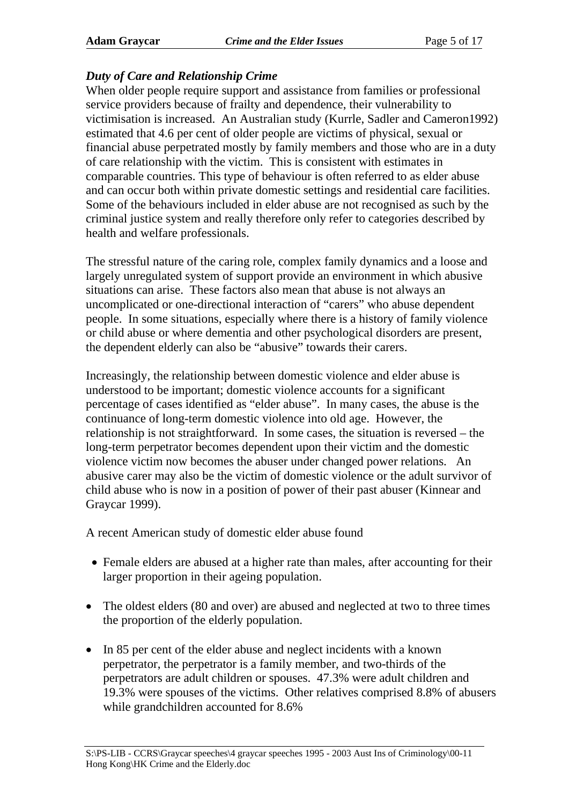#### *Duty of Care and Relationship Crime*

When older people require support and assistance from families or professional service providers because of frailty and dependence, their vulnerability to victimisation is increased. An Australian study (Kurrle, Sadler and Cameron1992) estimated that 4.6 per cent of older people are victims of physical, sexual or financial abuse perpetrated mostly by family members and those who are in a duty of care relationship with the victim. This is consistent with estimates in comparable countries. This type of behaviour is often referred to as elder abuse and can occur both within private domestic settings and residential care facilities. Some of the behaviours included in elder abuse are not recognised as such by the criminal justice system and really therefore only refer to categories described by health and welfare professionals.

The stressful nature of the caring role, complex family dynamics and a loose and largely unregulated system of support provide an environment in which abusive situations can arise. These factors also mean that abuse is not always an uncomplicated or one-directional interaction of "carers" who abuse dependent people. In some situations, especially where there is a history of family violence or child abuse or where dementia and other psychological disorders are present, the dependent elderly can also be "abusive" towards their carers.

Increasingly, the relationship between domestic violence and elder abuse is understood to be important; domestic violence accounts for a significant percentage of cases identified as "elder abuse". In many cases, the abuse is the continuance of long-term domestic violence into old age. However, the relationship is not straightforward. In some cases, the situation is reversed – the long-term perpetrator becomes dependent upon their victim and the domestic violence victim now becomes the abuser under changed power relations. An abusive carer may also be the victim of domestic violence or the adult survivor of child abuse who is now in a position of power of their past abuser (Kinnear and Graycar 1999).

A recent American study of domestic elder abuse found

- Female elders are abused at a higher rate than males, after accounting for their larger proportion in their ageing population.
- The oldest elders (80 and over) are abused and neglected at two to three times the proportion of the elderly population.
- In 85 per cent of the elder abuse and neglect incidents with a known perpetrator, the perpetrator is a family member, and two-thirds of the perpetrators are adult children or spouses. 47.3% were adult children and 19.3% were spouses of the victims. Other relatives comprised 8.8% of abusers while grandchildren accounted for 8.6%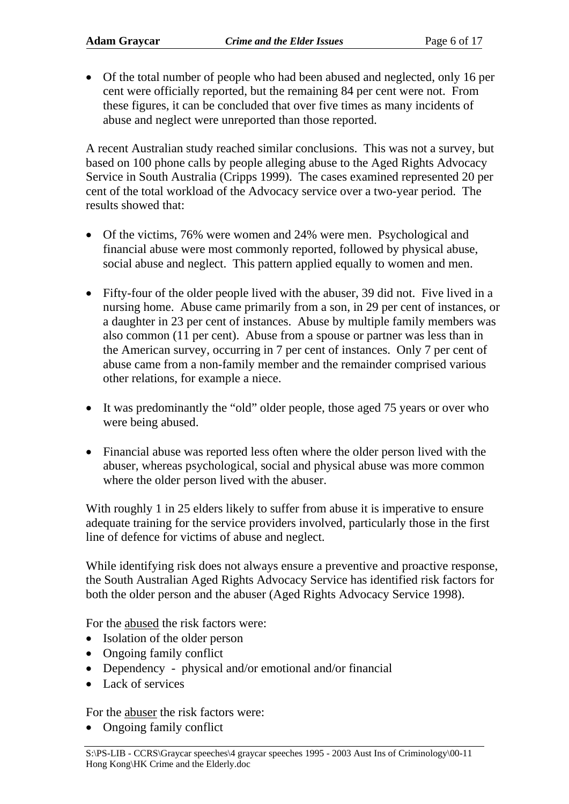• Of the total number of people who had been abused and neglected, only 16 per cent were officially reported, but the remaining 84 per cent were not. From these figures, it can be concluded that over five times as many incidents of abuse and neglect were unreported than those reported.

A recent Australian study reached similar conclusions. This was not a survey, but based on 100 phone calls by people alleging abuse to the Aged Rights Advocacy Service in South Australia (Cripps 1999). The cases examined represented 20 per cent of the total workload of the Advocacy service over a two-year period. The results showed that:

- Of the victims, 76% were women and 24% were men. Psychological and financial abuse were most commonly reported, followed by physical abuse, social abuse and neglect. This pattern applied equally to women and men.
- Fifty-four of the older people lived with the abuser, 39 did not. Five lived in a nursing home. Abuse came primarily from a son, in 29 per cent of instances, or a daughter in 23 per cent of instances. Abuse by multiple family members was also common (11 per cent). Abuse from a spouse or partner was less than in the American survey, occurring in 7 per cent of instances. Only 7 per cent of abuse came from a non-family member and the remainder comprised various other relations, for example a niece.
- It was predominantly the "old" older people, those aged 75 years or over who were being abused.
- Financial abuse was reported less often where the older person lived with the abuser, whereas psychological, social and physical abuse was more common where the older person lived with the abuser.

With roughly 1 in 25 elders likely to suffer from abuse it is imperative to ensure adequate training for the service providers involved, particularly those in the first line of defence for victims of abuse and neglect.

While identifying risk does not always ensure a preventive and proactive response, the South Australian Aged Rights Advocacy Service has identified risk factors for both the older person and the abuser (Aged Rights Advocacy Service 1998).

For the abused the risk factors were:

- Isolation of the older person
- Ongoing family conflict
- Dependency physical and/or emotional and/or financial
- Lack of services

For the abuser the risk factors were:

• Ongoing family conflict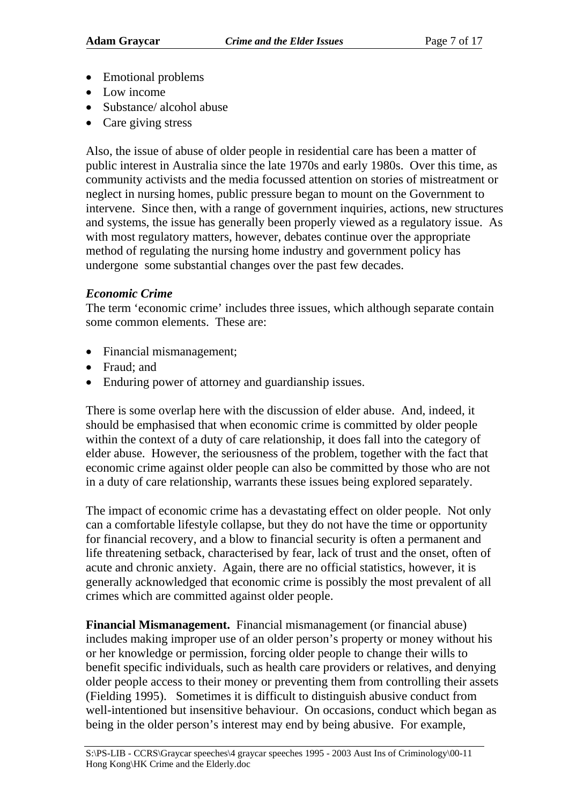- Emotional problems
- Low income
- Substance/ alcohol abuse
- Care giving stress

Also, the issue of abuse of older people in residential care has been a matter of public interest in Australia since the late 1970s and early 1980s. Over this time, as community activists and the media focussed attention on stories of mistreatment or neglect in nursing homes, public pressure began to mount on the Government to intervene. Since then, with a range of government inquiries, actions, new structures and systems, the issue has generally been properly viewed as a regulatory issue. As with most regulatory matters, however, debates continue over the appropriate method of regulating the nursing home industry and government policy has undergone some substantial changes over the past few decades.

#### *Economic Crime*

The term 'economic crime' includes three issues, which although separate contain some common elements. These are:

- Financial mismanagement;
- Fraud: and
- Enduring power of attorney and guardianship issues.

There is some overlap here with the discussion of elder abuse. And, indeed, it should be emphasised that when economic crime is committed by older people within the context of a duty of care relationship, it does fall into the category of elder abuse. However, the seriousness of the problem, together with the fact that economic crime against older people can also be committed by those who are not in a duty of care relationship, warrants these issues being explored separately.

The impact of economic crime has a devastating effect on older people. Not only can a comfortable lifestyle collapse, but they do not have the time or opportunity for financial recovery, and a blow to financial security is often a permanent and life threatening setback, characterised by fear, lack of trust and the onset, often of acute and chronic anxiety. Again, there are no official statistics, however, it is generally acknowledged that economic crime is possibly the most prevalent of all crimes which are committed against older people.

**Financial Mismanagement.** Financial mismanagement (or financial abuse) includes making improper use of an older person's property or money without his or her knowledge or permission, forcing older people to change their wills to benefit specific individuals, such as health care providers or relatives, and denying older people access to their money or preventing them from controlling their assets (Fielding 1995). Sometimes it is difficult to distinguish abusive conduct from well-intentioned but insensitive behaviour. On occasions, conduct which began as being in the older person's interest may end by being abusive. For example,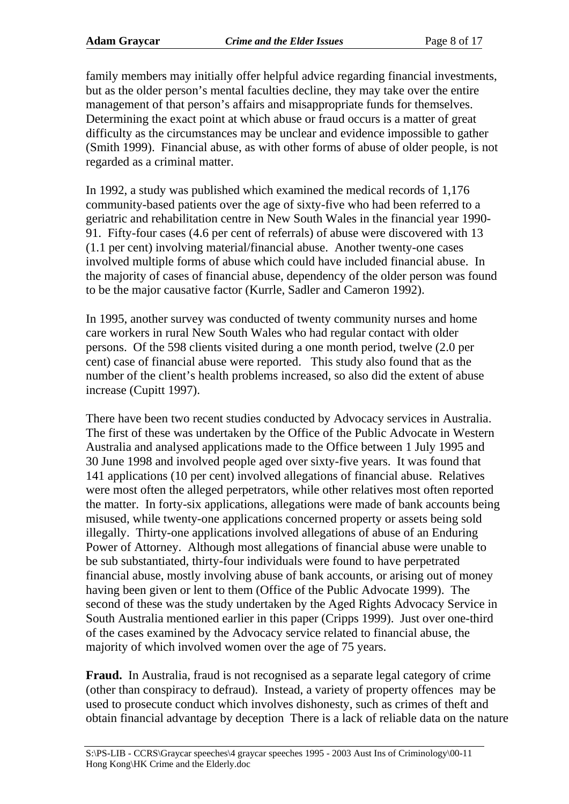family members may initially offer helpful advice regarding financial investments, but as the older person's mental faculties decline, they may take over the entire management of that person's affairs and misappropriate funds for themselves. Determining the exact point at which abuse or fraud occurs is a matter of great difficulty as the circumstances may be unclear and evidence impossible to gather (Smith 1999). Financial abuse, as with other forms of abuse of older people, is not regarded as a criminal matter.

In 1992, a study was published which examined the medical records of 1,176 community-based patients over the age of sixty-five who had been referred to a geriatric and rehabilitation centre in New South Wales in the financial year 1990- 91. Fifty-four cases (4.6 per cent of referrals) of abuse were discovered with 13 (1.1 per cent) involving material/financial abuse. Another twenty-one cases involved multiple forms of abuse which could have included financial abuse. In the majority of cases of financial abuse, dependency of the older person was found to be the major causative factor (Kurrle, Sadler and Cameron 1992).

In 1995, another survey was conducted of twenty community nurses and home care workers in rural New South Wales who had regular contact with older persons. Of the 598 clients visited during a one month period, twelve (2.0 per cent) case of financial abuse were reported. This study also found that as the number of the client's health problems increased, so also did the extent of abuse increase (Cupitt 1997).

There have been two recent studies conducted by Advocacy services in Australia. The first of these was undertaken by the Office of the Public Advocate in Western Australia and analysed applications made to the Office between 1 July 1995 and 30 June 1998 and involved people aged over sixty-five years. It was found that 141 applications (10 per cent) involved allegations of financial abuse. Relatives were most often the alleged perpetrators, while other relatives most often reported the matter. In forty-six applications, allegations were made of bank accounts being misused, while twenty-one applications concerned property or assets being sold illegally. Thirty-one applications involved allegations of abuse of an Enduring Power of Attorney. Although most allegations of financial abuse were unable to be sub substantiated, thirty-four individuals were found to have perpetrated financial abuse, mostly involving abuse of bank accounts, or arising out of money having been given or lent to them (Office of the Public Advocate 1999). The second of these was the study undertaken by the Aged Rights Advocacy Service in South Australia mentioned earlier in this paper (Cripps 1999). Just over one-third of the cases examined by the Advocacy service related to financial abuse, the majority of which involved women over the age of 75 years.

**Fraud.** In Australia, fraud is not recognised as a separate legal category of crime (other than conspiracy to defraud). Instead, a variety of property offences may be used to prosecute conduct which involves dishonesty, such as crimes of theft and obtain financial advantage by deception There is a lack of reliable data on the nature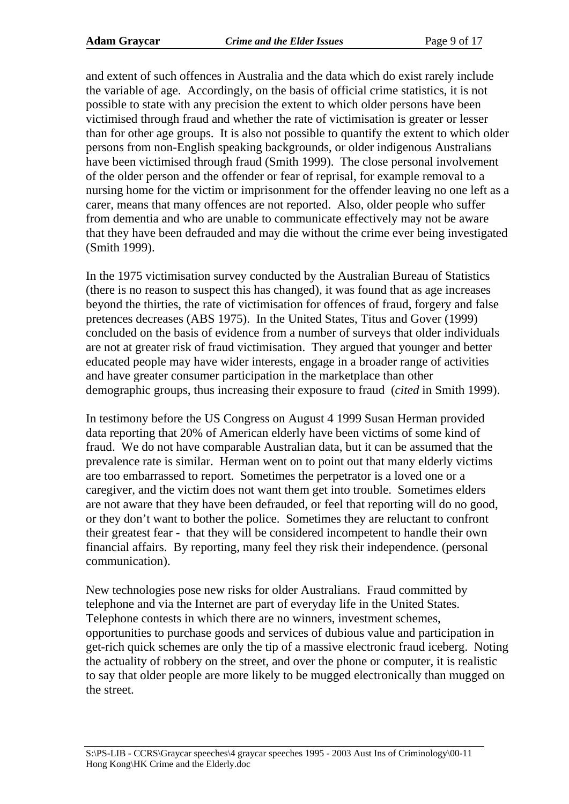and extent of such offences in Australia and the data which do exist rarely include the variable of age. Accordingly, on the basis of official crime statistics, it is not possible to state with any precision the extent to which older persons have been victimised through fraud and whether the rate of victimisation is greater or lesser than for other age groups. It is also not possible to quantify the extent to which older persons from non-English speaking backgrounds, or older indigenous Australians have been victimised through fraud (Smith 1999). The close personal involvement of the older person and the offender or fear of reprisal, for example removal to a nursing home for the victim or imprisonment for the offender leaving no one left as a carer, means that many offences are not reported. Also, older people who suffer from dementia and who are unable to communicate effectively may not be aware that they have been defrauded and may die without the crime ever being investigated (Smith 1999).

In the 1975 victimisation survey conducted by the Australian Bureau of Statistics (there is no reason to suspect this has changed), it was found that as age increases beyond the thirties, the rate of victimisation for offences of fraud, forgery and false pretences decreases (ABS 1975). In the United States, Titus and Gover (1999) concluded on the basis of evidence from a number of surveys that older individuals are not at greater risk of fraud victimisation. They argued that younger and better educated people may have wider interests, engage in a broader range of activities and have greater consumer participation in the marketplace than other demographic groups, thus increasing their exposure to fraud (*cited* in Smith 1999).

In testimony before the US Congress on August 4 1999 Susan Herman provided data reporting that 20% of American elderly have been victims of some kind of fraud. We do not have comparable Australian data, but it can be assumed that the prevalence rate is similar. Herman went on to point out that many elderly victims are too embarrassed to report. Sometimes the perpetrator is a loved one or a caregiver, and the victim does not want them get into trouble. Sometimes elders are not aware that they have been defrauded, or feel that reporting will do no good, or they don't want to bother the police. Sometimes they are reluctant to confront their greatest fear - that they will be considered incompetent to handle their own financial affairs. By reporting, many feel they risk their independence. (personal communication).

New technologies pose new risks for older Australians. Fraud committed by telephone and via the Internet are part of everyday life in the United States. Telephone contests in which there are no winners, investment schemes, opportunities to purchase goods and services of dubious value and participation in get-rich quick schemes are only the tip of a massive electronic fraud iceberg. Noting the actuality of robbery on the street, and over the phone or computer, it is realistic to say that older people are more likely to be mugged electronically than mugged on the street.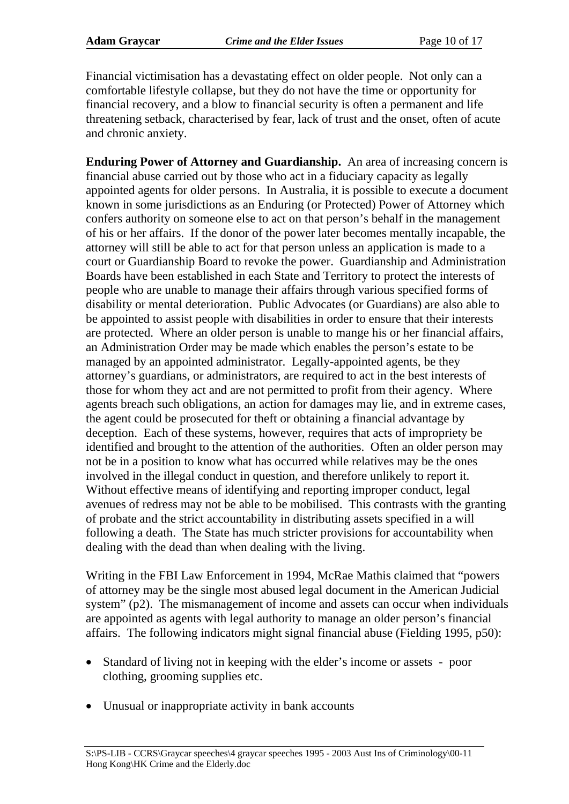Financial victimisation has a devastating effect on older people. Not only can a comfortable lifestyle collapse, but they do not have the time or opportunity for financial recovery, and a blow to financial security is often a permanent and life threatening setback, characterised by fear, lack of trust and the onset, often of acute and chronic anxiety.

**Enduring Power of Attorney and Guardianship.** An area of increasing concern is financial abuse carried out by those who act in a fiduciary capacity as legally appointed agents for older persons. In Australia, it is possible to execute a document known in some jurisdictions as an Enduring (or Protected) Power of Attorney which confers authority on someone else to act on that person's behalf in the management of his or her affairs. If the donor of the power later becomes mentally incapable, the attorney will still be able to act for that person unless an application is made to a court or Guardianship Board to revoke the power. Guardianship and Administration Boards have been established in each State and Territory to protect the interests of people who are unable to manage their affairs through various specified forms of disability or mental deterioration. Public Advocates (or Guardians) are also able to be appointed to assist people with disabilities in order to ensure that their interests are protected. Where an older person is unable to mange his or her financial affairs, an Administration Order may be made which enables the person's estate to be managed by an appointed administrator. Legally-appointed agents, be they attorney's guardians, or administrators, are required to act in the best interests of those for whom they act and are not permitted to profit from their agency. Where agents breach such obligations, an action for damages may lie, and in extreme cases, the agent could be prosecuted for theft or obtaining a financial advantage by deception. Each of these systems, however, requires that acts of impropriety be identified and brought to the attention of the authorities. Often an older person may not be in a position to know what has occurred while relatives may be the ones involved in the illegal conduct in question, and therefore unlikely to report it. Without effective means of identifying and reporting improper conduct, legal avenues of redress may not be able to be mobilised. This contrasts with the granting of probate and the strict accountability in distributing assets specified in a will following a death. The State has much stricter provisions for accountability when dealing with the dead than when dealing with the living.

Writing in the FBI Law Enforcement in 1994, McRae Mathis claimed that "powers of attorney may be the single most abused legal document in the American Judicial system" (p2). The mismanagement of income and assets can occur when individuals are appointed as agents with legal authority to manage an older person's financial affairs. The following indicators might signal financial abuse (Fielding 1995, p50):

- Standard of living not in keeping with the elder's income or assets poor clothing, grooming supplies etc.
- Unusual or inappropriate activity in bank accounts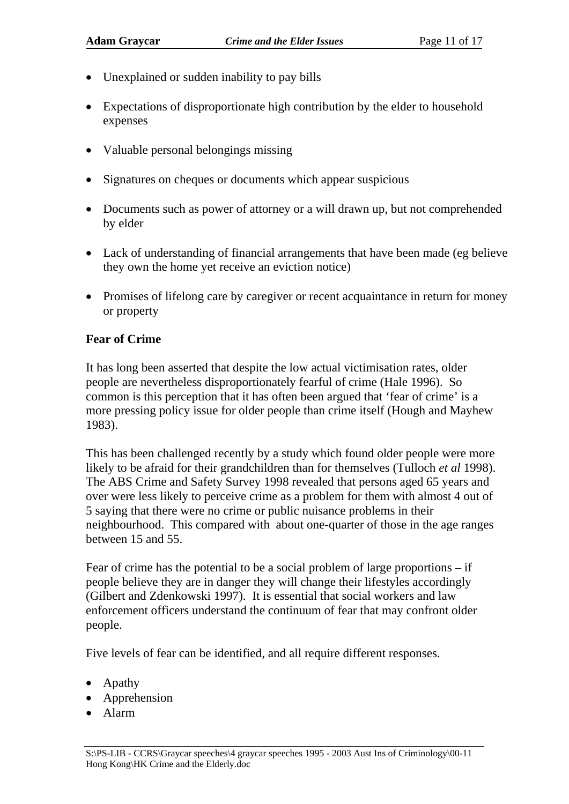- Unexplained or sudden inability to pay bills
- Expectations of disproportionate high contribution by the elder to household expenses
- Valuable personal belongings missing
- Signatures on cheques or documents which appear suspicious
- Documents such as power of attorney or a will drawn up, but not comprehended by elder
- Lack of understanding of financial arrangements that have been made (eg believe they own the home yet receive an eviction notice)
- Promises of lifelong care by caregiver or recent acquaintance in return for money or property

#### **Fear of Crime**

It has long been asserted that despite the low actual victimisation rates, older people are nevertheless disproportionately fearful of crime (Hale 1996). So common is this perception that it has often been argued that 'fear of crime' is a more pressing policy issue for older people than crime itself (Hough and Mayhew 1983).

This has been challenged recently by a study which found older people were more likely to be afraid for their grandchildren than for themselves (Tulloch *et al* 1998). The ABS Crime and Safety Survey 1998 revealed that persons aged 65 years and over were less likely to perceive crime as a problem for them with almost 4 out of 5 saying that there were no crime or public nuisance problems in their neighbourhood. This compared with about one-quarter of those in the age ranges between 15 and 55.

Fear of crime has the potential to be a social problem of large proportions – if people believe they are in danger they will change their lifestyles accordingly (Gilbert and Zdenkowski 1997). It is essential that social workers and law enforcement officers understand the continuum of fear that may confront older people.

Five levels of fear can be identified, and all require different responses.

- Apathy
- Apprehension
- Alarm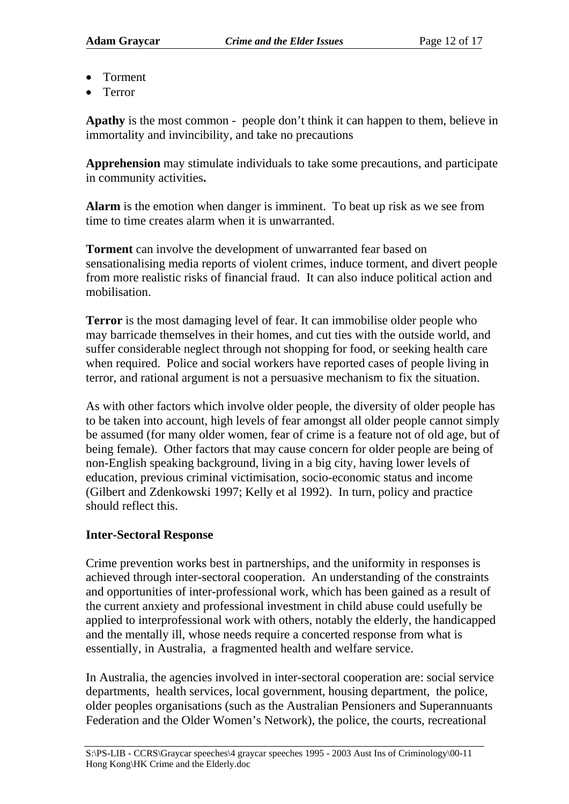- Torment
- Terror

**Apathy** is the most common - people don't think it can happen to them, believe in immortality and invincibility, and take no precautions

**Apprehension** may stimulate individuals to take some precautions, and participate in community activities**.**

**Alarm** is the emotion when danger is imminent. To beat up risk as we see from time to time creates alarm when it is unwarranted.

**Torment** can involve the development of unwarranted fear based on sensationalising media reports of violent crimes, induce torment, and divert people from more realistic risks of financial fraud. It can also induce political action and mobilisation.

**Terror** is the most damaging level of fear. It can immobilise older people who may barricade themselves in their homes, and cut ties with the outside world, and suffer considerable neglect through not shopping for food, or seeking health care when required. Police and social workers have reported cases of people living in terror, and rational argument is not a persuasive mechanism to fix the situation.

As with other factors which involve older people, the diversity of older people has to be taken into account, high levels of fear amongst all older people cannot simply be assumed (for many older women, fear of crime is a feature not of old age, but of being female). Other factors that may cause concern for older people are being of non-English speaking background, living in a big city, having lower levels of education, previous criminal victimisation, socio-economic status and income (Gilbert and Zdenkowski 1997; Kelly et al 1992). In turn, policy and practice should reflect this.

#### **Inter-Sectoral Response**

Crime prevention works best in partnerships, and the uniformity in responses is achieved through inter-sectoral cooperation. An understanding of the constraints and opportunities of inter-professional work, which has been gained as a result of the current anxiety and professional investment in child abuse could usefully be applied to interprofessional work with others, notably the elderly, the handicapped and the mentally ill, whose needs require a concerted response from what is essentially, in Australia, a fragmented health and welfare service.

In Australia, the agencies involved in inter-sectoral cooperation are: social service departments, health services, local government, housing department, the police, older peoples organisations (such as the Australian Pensioners and Superannuants Federation and the Older Women's Network), the police, the courts, recreational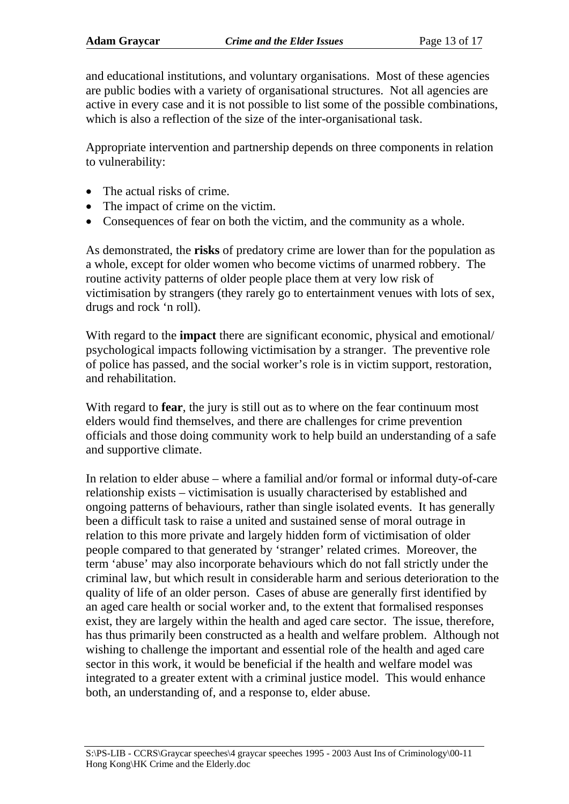and educational institutions, and voluntary organisations. Most of these agencies are public bodies with a variety of organisational structures. Not all agencies are active in every case and it is not possible to list some of the possible combinations, which is also a reflection of the size of the inter-organisational task.

Appropriate intervention and partnership depends on three components in relation to vulnerability:

- The actual risks of crime.
- The impact of crime on the victim.
- Consequences of fear on both the victim, and the community as a whole.

As demonstrated, the **risks** of predatory crime are lower than for the population as a whole, except for older women who become victims of unarmed robbery. The routine activity patterns of older people place them at very low risk of victimisation by strangers (they rarely go to entertainment venues with lots of sex, drugs and rock 'n roll).

With regard to the **impact** there are significant economic, physical and emotional/ psychological impacts following victimisation by a stranger. The preventive role of police has passed, and the social worker's role is in victim support, restoration, and rehabilitation.

With regard to **fear**, the jury is still out as to where on the fear continuum most elders would find themselves, and there are challenges for crime prevention officials and those doing community work to help build an understanding of a safe and supportive climate.

In relation to elder abuse – where a familial and/or formal or informal duty-of-care relationship exists – victimisation is usually characterised by established and ongoing patterns of behaviours, rather than single isolated events. It has generally been a difficult task to raise a united and sustained sense of moral outrage in relation to this more private and largely hidden form of victimisation of older people compared to that generated by 'stranger' related crimes. Moreover, the term 'abuse' may also incorporate behaviours which do not fall strictly under the criminal law, but which result in considerable harm and serious deterioration to the quality of life of an older person. Cases of abuse are generally first identified by an aged care health or social worker and, to the extent that formalised responses exist, they are largely within the health and aged care sector. The issue, therefore, has thus primarily been constructed as a health and welfare problem. Although not wishing to challenge the important and essential role of the health and aged care sector in this work, it would be beneficial if the health and welfare model was integrated to a greater extent with a criminal justice model. This would enhance both, an understanding of, and a response to, elder abuse.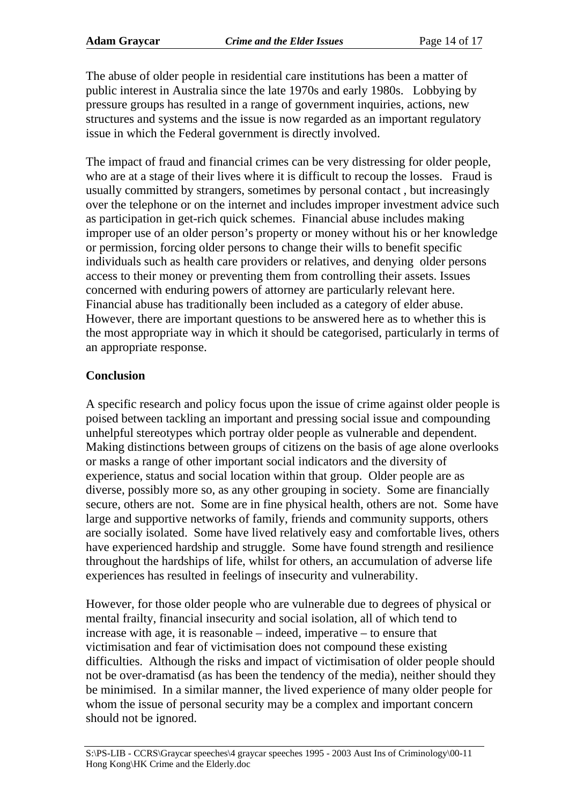The abuse of older people in residential care institutions has been a matter of public interest in Australia since the late 1970s and early 1980s. Lobbying by pressure groups has resulted in a range of government inquiries, actions, new structures and systems and the issue is now regarded as an important regulatory issue in which the Federal government is directly involved.

The impact of fraud and financial crimes can be very distressing for older people, who are at a stage of their lives where it is difficult to recoup the losses. Fraud is usually committed by strangers, sometimes by personal contact , but increasingly over the telephone or on the internet and includes improper investment advice such as participation in get-rich quick schemes. Financial abuse includes making improper use of an older person's property or money without his or her knowledge or permission, forcing older persons to change their wills to benefit specific individuals such as health care providers or relatives, and denying older persons access to their money or preventing them from controlling their assets. Issues concerned with enduring powers of attorney are particularly relevant here. Financial abuse has traditionally been included as a category of elder abuse. However, there are important questions to be answered here as to whether this is the most appropriate way in which it should be categorised, particularly in terms of an appropriate response.

#### **Conclusion**

A specific research and policy focus upon the issue of crime against older people is poised between tackling an important and pressing social issue and compounding unhelpful stereotypes which portray older people as vulnerable and dependent. Making distinctions between groups of citizens on the basis of age alone overlooks or masks a range of other important social indicators and the diversity of experience, status and social location within that group. Older people are as diverse, possibly more so, as any other grouping in society. Some are financially secure, others are not. Some are in fine physical health, others are not. Some have large and supportive networks of family, friends and community supports, others are socially isolated. Some have lived relatively easy and comfortable lives, others have experienced hardship and struggle. Some have found strength and resilience throughout the hardships of life, whilst for others, an accumulation of adverse life experiences has resulted in feelings of insecurity and vulnerability.

However, for those older people who are vulnerable due to degrees of physical or mental frailty, financial insecurity and social isolation, all of which tend to increase with age, it is reasonable – indeed, imperative – to ensure that victimisation and fear of victimisation does not compound these existing difficulties. Although the risks and impact of victimisation of older people should not be over-dramatisd (as has been the tendency of the media), neither should they be minimised. In a similar manner, the lived experience of many older people for whom the issue of personal security may be a complex and important concern should not be ignored.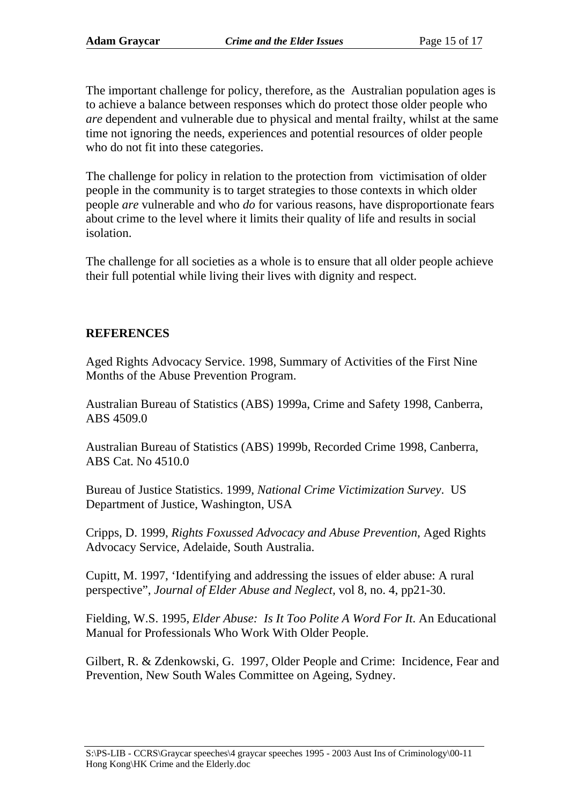The important challenge for policy, therefore, as the Australian population ages is to achieve a balance between responses which do protect those older people who *are* dependent and vulnerable due to physical and mental frailty, whilst at the same time not ignoring the needs, experiences and potential resources of older people who do not fit into these categories.

The challenge for policy in relation to the protection from victimisation of older people in the community is to target strategies to those contexts in which older people *are* vulnerable and who *do* for various reasons, have disproportionate fears about crime to the level where it limits their quality of life and results in social isolation.

The challenge for all societies as a whole is to ensure that all older people achieve their full potential while living their lives with dignity and respect.

#### **REFERENCES**

Aged Rights Advocacy Service. 1998, Summary of Activities of the First Nine Months of the Abuse Prevention Program.

Australian Bureau of Statistics (ABS) 1999a, Crime and Safety 1998, Canberra, ABS 4509.0

Australian Bureau of Statistics (ABS) 1999b, Recorded Crime 1998, Canberra, ABS Cat. No 4510.0

Bureau of Justice Statistics. 1999, *National Crime Victimization Survey*. US Department of Justice, Washington, USA

Cripps, D. 1999, *Rights Foxussed Advocacy and Abuse Prevention*, Aged Rights Advocacy Service, Adelaide, South Australia.

Cupitt, M. 1997, 'Identifying and addressing the issues of elder abuse: A rural perspective", *Journal of Elder Abuse and Neglect,* vol 8, no. 4, pp21-30.

Fielding, W.S. 1995, *Elder Abuse: Is It Too Polite A Word For It*. An Educational Manual for Professionals Who Work With Older People.

Gilbert, R. & Zdenkowski, G. 1997, Older People and Crime: Incidence, Fear and Prevention, New South Wales Committee on Ageing, Sydney.